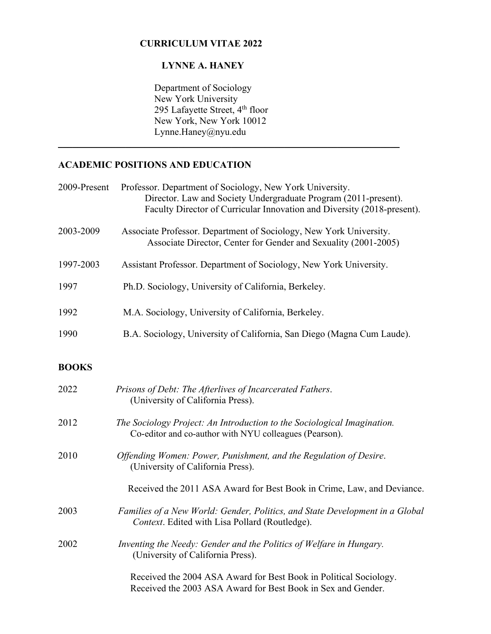#### **CURRICULUM VITAE 2022**

# **LYNNE A. HANEY**

 Department of Sociology New York University 295 Lafayette Street, 4<sup>th</sup> floor New York, New York 10012 Lynne.Haney@nyu.edu

\_\_\_\_\_\_\_\_\_\_\_\_\_\_\_\_\_\_\_\_\_\_\_\_\_\_\_\_\_\_\_\_\_\_\_\_\_\_\_\_\_\_\_\_\_\_\_\_\_\_\_\_\_\_\_\_\_\_\_\_\_\_\_\_\_\_\_\_\_\_\_

# **ACADEMIC POSITIONS AND EDUCATION**

| 2009-Present | Professor. Department of Sociology, New York University.<br>Director. Law and Society Undergraduate Program (2011-present).<br>Faculty Director of Curricular Innovation and Diversity (2018-present). |
|--------------|--------------------------------------------------------------------------------------------------------------------------------------------------------------------------------------------------------|
| 2003-2009    | Associate Professor. Department of Sociology, New York University.<br>Associate Director, Center for Gender and Sexuality (2001-2005)                                                                  |
| 1997-2003    | Assistant Professor. Department of Sociology, New York University.                                                                                                                                     |
| 1997         | Ph.D. Sociology, University of California, Berkeley.                                                                                                                                                   |
| 1992         | M.A. Sociology, University of California, Berkeley.                                                                                                                                                    |
| 1990         | B.A. Sociology, University of California, San Diego (Magna Cum Laude).                                                                                                                                 |
| <b>BOOKS</b> |                                                                                                                                                                                                        |
| 2022         | Prisons of Debt: The Afterlives of Incarcerated Fathers.<br>(University of California Press).                                                                                                          |
| 2012         | The Sociology Project: An Introduction to the Sociological Imagination.<br>Co-editor and co-author with NYU colleagues (Pearson).                                                                      |
| 2010         | Offending Women: Power, Punishment, and the Regulation of Desire.<br>(University of California Press).                                                                                                 |
|              | Received the 2011 ASA Award for Best Book in Crime, Law, and Deviance.                                                                                                                                 |
| 2003         | Families of a New World: Gender, Politics, and State Development in a Global<br>Context. Edited with Lisa Pollard (Routledge).                                                                         |
| 2002         | Inventing the Needy: Gender and the Politics of Welfare in Hungary.<br>(University of California Press).                                                                                               |
|              | Received the 2004 ASA Award for Best Book in Political Sociology.<br>Received the 2003 ASA Award for Best Book in Sex and Gender.                                                                      |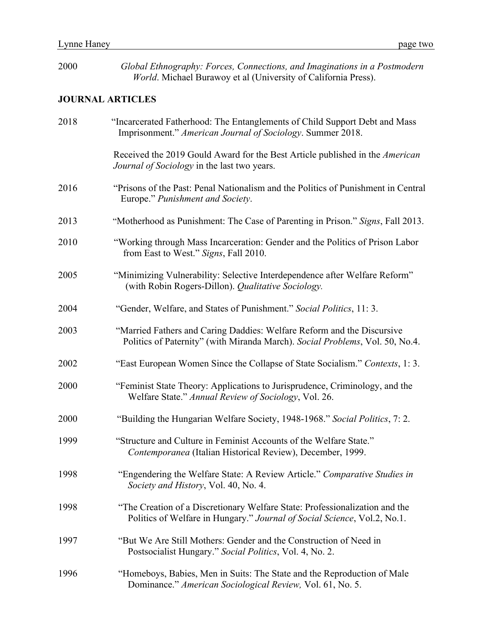| 2000 | Global Ethnography: Forces, Connections, and Imaginations in a Postmodern<br>World. Michael Burawoy et al (University of California Press).             |
|------|---------------------------------------------------------------------------------------------------------------------------------------------------------|
|      | <b>JOURNAL ARTICLES</b>                                                                                                                                 |
| 2018 | "Incarcerated Fatherhood: The Entanglements of Child Support Debt and Mass<br>Imprisonment." American Journal of Sociology. Summer 2018.                |
|      | Received the 2019 Gould Award for the Best Article published in the American<br><i>Journal of Sociology</i> in the last two years.                      |
| 2016 | "Prisons of the Past: Penal Nationalism and the Politics of Punishment in Central<br>Europe." Punishment and Society.                                   |
| 2013 | "Motherhood as Punishment: The Case of Parenting in Prison." Signs, Fall 2013.                                                                          |
| 2010 | "Working through Mass Incarceration: Gender and the Politics of Prison Labor<br>from East to West." Signs, Fall 2010.                                   |
| 2005 | "Minimizing Vulnerability: Selective Interdependence after Welfare Reform"<br>(with Robin Rogers-Dillon). Qualitative Sociology.                        |
| 2004 | "Gender, Welfare, and States of Punishment." Social Politics, 11: 3.                                                                                    |
| 2003 | "Married Fathers and Caring Daddies: Welfare Reform and the Discursive<br>Politics of Paternity" (with Miranda March). Social Problems, Vol. 50, No.4.  |
| 2002 | "East European Women Since the Collapse of State Socialism." Contexts, 1:3.                                                                             |
| 2000 | "Feminist State Theory: Applications to Jurisprudence, Criminology, and the<br>Welfare State." Annual Review of Sociology, Vol. 26.                     |
| 2000 | "Building the Hungarian Welfare Society, 1948-1968." Social Politics, 7: 2.                                                                             |
| 1999 | "Structure and Culture in Feminist Accounts of the Welfare State."<br>Contemporanea (Italian Historical Review), December, 1999.                        |
| 1998 | "Engendering the Welfare State: A Review Article." Comparative Studies in<br>Society and History, Vol. 40, No. 4.                                       |
| 1998 | "The Creation of a Discretionary Welfare State: Professionalization and the<br>Politics of Welfare in Hungary." Journal of Social Science, Vol.2, No.1. |
| 1997 | "But We Are Still Mothers: Gender and the Construction of Need in<br>Postsocialist Hungary." Social Politics, Vol. 4, No. 2.                            |
| 1996 | "Homeboys, Babies, Men in Suits: The State and the Reproduction of Male<br>Dominance." American Sociological Review, Vol. 61, No. 5.                    |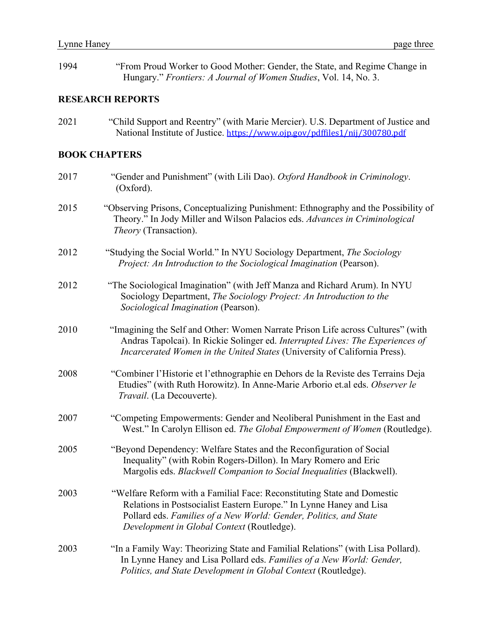| 1994 | "From Proud Worker to Good Mother: Gender, the State, and Regime Change in<br>Hungary." Frontiers: A Journal of Women Studies, Vol. 14, No. 3.                                                                                                                    |
|------|-------------------------------------------------------------------------------------------------------------------------------------------------------------------------------------------------------------------------------------------------------------------|
|      | <b>RESEARCH REPORTS</b>                                                                                                                                                                                                                                           |
| 2021 | "Child Support and Reentry" (with Marie Mercier). U.S. Department of Justice and<br>National Institute of Justice. https://www.ojp.gov/pdffiles1/nij/300780.pdf                                                                                                   |
|      | <b>BOOK CHAPTERS</b>                                                                                                                                                                                                                                              |
| 2017 | "Gender and Punishment" (with Lili Dao). Oxford Handbook in Criminology.<br>(Oxford).                                                                                                                                                                             |
| 2015 | "Observing Prisons, Conceptualizing Punishment: Ethnography and the Possibility of<br>Theory." In Jody Miller and Wilson Palacios eds. Advances in Criminological<br>Theory (Transaction).                                                                        |
| 2012 | "Studying the Social World." In NYU Sociology Department, The Sociology<br>Project: An Introduction to the Sociological Imagination (Pearson).                                                                                                                    |
| 2012 | "The Sociological Imagination" (with Jeff Manza and Richard Arum). In NYU<br>Sociology Department, The Sociology Project: An Introduction to the<br>Sociological Imagination (Pearson).                                                                           |
| 2010 | "Imagining the Self and Other: Women Narrate Prison Life across Cultures" (with<br>Andras Tapolcai). In Rickie Solinger ed. Interrupted Lives: The Experiences of<br>Incarcerated Women in the United States (University of California Press).                    |
| 2008 | "Combiner l'Historie et l'ethnographie en Dehors de la Reviste des Terrains Deja<br>Etudies" (with Ruth Horowitz). In Anne-Marie Arborio et.al eds. Observer le<br>Travail. (La Decouverte).                                                                      |
| 2007 | "Competing Empowerments: Gender and Neoliberal Punishment in the East and<br>West." In Carolyn Ellison ed. The Global Empowerment of Women (Routledge).                                                                                                           |
| 2005 | "Beyond Dependency: Welfare States and the Reconfiguration of Social<br>Inequality" (with Robin Rogers-Dillon). In Mary Romero and Eric<br>Margolis eds. Blackwell Companion to Social Inequalities (Blackwell).                                                  |
| 2003 | "Welfare Reform with a Familial Face: Reconstituting State and Domestic<br>Relations in Postsocialist Eastern Europe." In Lynne Haney and Lisa<br>Pollard eds. Families of a New World: Gender, Politics, and State<br>Development in Global Context (Routledge). |
| 2003 | "In a Family Way: Theorizing State and Familial Relations" (with Lisa Pollard).<br>In Lynne Haney and Lisa Pollard eds. Families of a New World: Gender,<br>Politics, and State Development in Global Context (Routledge).                                        |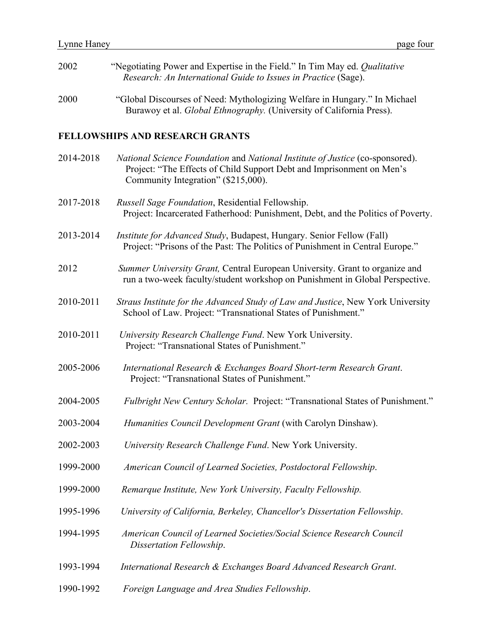| 2002 | "Negotiating Power and Expertise in the Field." In Tim May ed. <i>Qualitative</i><br><i>Research: An International Guide to Issues in Practice (Sage).</i> |
|------|------------------------------------------------------------------------------------------------------------------------------------------------------------|
| 2000 | "Global Discourses of Need: Mythologizing Welfare in Hungary." In Michael                                                                                  |

Burawoy et al. *Global Ethnography.* (University of California Press).

## **FELLOWSHIPS AND RESEARCH GRANTS**

| 2014-2018 | National Science Foundation and National Institute of Justice (co-sponsored).<br>Project: "The Effects of Child Support Debt and Imprisonment on Men's<br>Community Integration" (\$215,000). |
|-----------|-----------------------------------------------------------------------------------------------------------------------------------------------------------------------------------------------|
| 2017-2018 | Russell Sage Foundation, Residential Fellowship.<br>Project: Incarcerated Fatherhood: Punishment, Debt, and the Politics of Poverty.                                                          |
| 2013-2014 | <i>Institute for Advanced Study</i> , Budapest, Hungary. Senior Fellow (Fall)<br>Project: "Prisons of the Past: The Politics of Punishment in Central Europe."                                |
| 2012      | Summer University Grant, Central European University. Grant to organize and<br>run a two-week faculty/student workshop on Punishment in Global Perspective.                                   |
| 2010-2011 | Straus Institute for the Advanced Study of Law and Justice, New York University<br>School of Law. Project: "Transnational States of Punishment."                                              |
| 2010-2011 | University Research Challenge Fund. New York University.<br>Project: "Transnational States of Punishment."                                                                                    |
| 2005-2006 | International Research & Exchanges Board Short-term Research Grant.<br>Project: "Transnational States of Punishment."                                                                         |
| 2004-2005 | Fulbright New Century Scholar. Project: "Transnational States of Punishment."                                                                                                                 |
| 2003-2004 | Humanities Council Development Grant (with Carolyn Dinshaw).                                                                                                                                  |
| 2002-2003 | University Research Challenge Fund. New York University.                                                                                                                                      |
| 1999-2000 | American Council of Learned Societies, Postdoctoral Fellowship.                                                                                                                               |
| 1999-2000 | Remarque Institute, New York University, Faculty Fellowship.                                                                                                                                  |
| 1995-1996 | University of California, Berkeley, Chancellor's Dissertation Fellowship.                                                                                                                     |
| 1994-1995 | American Council of Learned Societies/Social Science Research Council<br>Dissertation Fellowship.                                                                                             |
| 1993-1994 | International Research & Exchanges Board Advanced Research Grant.                                                                                                                             |
| 1990-1992 | Foreign Language and Area Studies Fellowship.                                                                                                                                                 |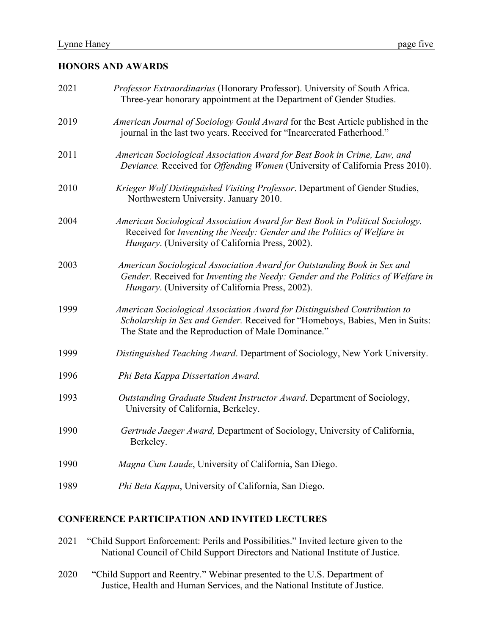### **HONORS AND AWARDS**

| 2021 | Professor Extraordinarius (Honorary Professor). University of South Africa.<br>Three-year honorary appointment at the Department of Gender Studies.                                                             |
|------|-----------------------------------------------------------------------------------------------------------------------------------------------------------------------------------------------------------------|
| 2019 | American Journal of Sociology Gould Award for the Best Article published in the<br>journal in the last two years. Received for "Incarcerated Fatherhood."                                                       |
| 2011 | American Sociological Association Award for Best Book in Crime, Law, and<br>Deviance. Received for Offending Women (University of California Press 2010).                                                       |
| 2010 | Krieger Wolf Distinguished Visiting Professor. Department of Gender Studies,<br>Northwestern University. January 2010.                                                                                          |
| 2004 | American Sociological Association Award for Best Book in Political Sociology.<br>Received for Inventing the Needy: Gender and the Politics of Welfare in<br>Hungary. (University of California Press, 2002).    |
| 2003 | American Sociological Association Award for Outstanding Book in Sex and<br>Gender. Received for Inventing the Needy: Gender and the Politics of Welfare in<br>Hungary. (University of California Press, 2002).  |
| 1999 | American Sociological Association Award for Distinguished Contribution to<br>Scholarship in Sex and Gender. Received for "Homeboys, Babies, Men in Suits:<br>The State and the Reproduction of Male Dominance." |
| 1999 | Distinguished Teaching Award. Department of Sociology, New York University.                                                                                                                                     |
| 1996 | Phi Beta Kappa Dissertation Award.                                                                                                                                                                              |
| 1993 | Outstanding Graduate Student Instructor Award. Department of Sociology,<br>University of California, Berkeley.                                                                                                  |
| 1990 | Gertrude Jaeger Award, Department of Sociology, University of California,<br>Berkeley.                                                                                                                          |
| 1990 | Magna Cum Laude, University of California, San Diego.                                                                                                                                                           |
| 1989 | Phi Beta Kappa, University of California, San Diego.                                                                                                                                                            |

### **CONFERENCE PARTICIPATION AND INVITED LECTURES**

- 2021 "Child Support Enforcement: Perils and Possibilities." Invited lecture given to the National Council of Child Support Directors and National Institute of Justice.
- 2020 "Child Support and Reentry." Webinar presented to the U.S. Department of Justice, Health and Human Services, and the National Institute of Justice.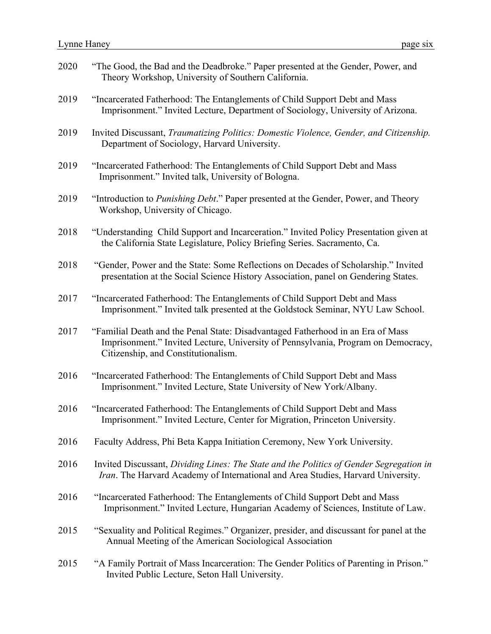| 2020 | "The Good, the Bad and the Deadbroke." Paper presented at the Gender, Power, and<br>Theory Workshop, University of Southern California.                                                                     |
|------|-------------------------------------------------------------------------------------------------------------------------------------------------------------------------------------------------------------|
| 2019 | "Incarcerated Fatherhood: The Entanglements of Child Support Debt and Mass<br>Imprisonment." Invited Lecture, Department of Sociology, University of Arizona.                                               |
| 2019 | Invited Discussant, Traumatizing Politics: Domestic Violence, Gender, and Citizenship.<br>Department of Sociology, Harvard University.                                                                      |
| 2019 | "Incarcerated Fatherhood: The Entanglements of Child Support Debt and Mass<br>Imprisonment." Invited talk, University of Bologna.                                                                           |
| 2019 | "Introduction to <i>Punishing Debt</i> ." Paper presented at the Gender, Power, and Theory<br>Workshop, University of Chicago.                                                                              |
| 2018 | "Understanding Child Support and Incarceration." Invited Policy Presentation given at<br>the California State Legislature, Policy Briefing Series. Sacramento, Ca.                                          |
| 2018 | "Gender, Power and the State: Some Reflections on Decades of Scholarship." Invited<br>presentation at the Social Science History Association, panel on Gendering States.                                    |
| 2017 | "Incarcerated Fatherhood: The Entanglements of Child Support Debt and Mass<br>Imprisonment." Invited talk presented at the Goldstock Seminar, NYU Law School.                                               |
| 2017 | "Familial Death and the Penal State: Disadvantaged Fatherhood in an Era of Mass<br>Imprisonment." Invited Lecture, University of Pennsylvania, Program on Democracy,<br>Citizenship, and Constitutionalism. |
| 2016 | "Incarcerated Fatherhood: The Entanglements of Child Support Debt and Mass<br>Imprisonment." Invited Lecture, State University of New York/Albany.                                                          |
| 2016 | "Incarcerated Fatherhood: The Entanglements of Child Support Debt and Mass<br>Imprisonment." Invited Lecture, Center for Migration, Princeton University.                                                   |
| 2016 | Faculty Address, Phi Beta Kappa Initiation Ceremony, New York University.                                                                                                                                   |
| 2016 | Invited Discussant, Dividing Lines: The State and the Politics of Gender Segregation in<br>Iran. The Harvard Academy of International and Area Studies, Harvard University.                                 |
| 2016 | "Incarcerated Fatherhood: The Entanglements of Child Support Debt and Mass<br>Imprisonment." Invited Lecture, Hungarian Academy of Sciences, Institute of Law.                                              |
| 2015 | "Sexuality and Political Regimes." Organizer, presider, and discussant for panel at the<br>Annual Meeting of the American Sociological Association                                                          |
| 2015 | "A Family Portrait of Mass Incarceration: The Gender Politics of Parenting in Prison."<br>Invited Public Lecture, Seton Hall University.                                                                    |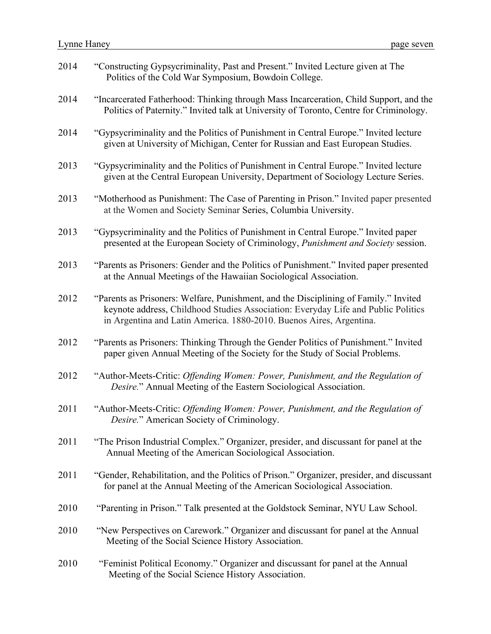| 2014 | "Constructing Gypsycriminality, Past and Present." Invited Lecture given at The<br>Politics of the Cold War Symposium, Bowdoin College.                                                                                                          |
|------|--------------------------------------------------------------------------------------------------------------------------------------------------------------------------------------------------------------------------------------------------|
| 2014 | "Incarcerated Fatherhood: Thinking through Mass Incarceration, Child Support, and the<br>Politics of Paternity." Invited talk at University of Toronto, Centre for Criminology.                                                                  |
| 2014 | "Gypsycriminality and the Politics of Punishment in Central Europe." Invited lecture<br>given at University of Michigan, Center for Russian and East European Studies.                                                                           |
| 2013 | "Gypsycriminality and the Politics of Punishment in Central Europe." Invited lecture<br>given at the Central European University, Department of Sociology Lecture Series.                                                                        |
| 2013 | "Motherhood as Punishment: The Case of Parenting in Prison." Invited paper presented<br>at the Women and Society Seminar Series, Columbia University.                                                                                            |
| 2013 | "Gypsycriminality and the Politics of Punishment in Central Europe." Invited paper<br>presented at the European Society of Criminology, Punishment and Society session.                                                                          |
| 2013 | "Parents as Prisoners: Gender and the Politics of Punishment." Invited paper presented<br>at the Annual Meetings of the Hawaiian Sociological Association.                                                                                       |
| 2012 | "Parents as Prisoners: Welfare, Punishment, and the Disciplining of Family." Invited<br>keynote address, Childhood Studies Association: Everyday Life and Public Politics<br>in Argentina and Latin America. 1880-2010. Buenos Aires, Argentina. |
| 2012 | "Parents as Prisoners: Thinking Through the Gender Politics of Punishment." Invited<br>paper given Annual Meeting of the Society for the Study of Social Problems.                                                                               |
| 2012 | "Author-Meets-Critic: Offending Women: Power, Punishment, and the Regulation of<br>Desire." Annual Meeting of the Eastern Sociological Association.                                                                                              |
| 2011 | "Author-Meets-Critic: Offending Women: Power, Punishment, and the Regulation of<br>Desire." American Society of Criminology.                                                                                                                     |
| 2011 | "The Prison Industrial Complex." Organizer, presider, and discussant for panel at the<br>Annual Meeting of the American Sociological Association.                                                                                                |
| 2011 | "Gender, Rehabilitation, and the Politics of Prison." Organizer, presider, and discussant<br>for panel at the Annual Meeting of the American Sociological Association.                                                                           |
| 2010 | "Parenting in Prison." Talk presented at the Goldstock Seminar, NYU Law School.                                                                                                                                                                  |
| 2010 | "New Perspectives on Carework." Organizer and discussant for panel at the Annual<br>Meeting of the Social Science History Association.                                                                                                           |
| 2010 | "Feminist Political Economy." Organizer and discussant for panel at the Annual<br>Meeting of the Social Science History Association.                                                                                                             |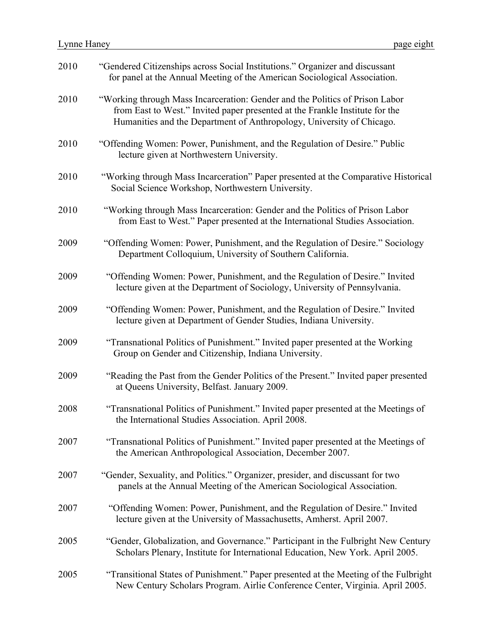| 2010 | "Gendered Citizenships across Social Institutions." Organizer and discussant<br>for panel at the Annual Meeting of the American Sociological Association.                                                                             |
|------|---------------------------------------------------------------------------------------------------------------------------------------------------------------------------------------------------------------------------------------|
| 2010 | "Working through Mass Incarceration: Gender and the Politics of Prison Labor<br>from East to West." Invited paper presented at the Frankle Institute for the<br>Humanities and the Department of Anthropology, University of Chicago. |
| 2010 | "Offending Women: Power, Punishment, and the Regulation of Desire." Public<br>lecture given at Northwestern University.                                                                                                               |
| 2010 | "Working through Mass Incarceration" Paper presented at the Comparative Historical<br>Social Science Workshop, Northwestern University.                                                                                               |
| 2010 | "Working through Mass Incarceration: Gender and the Politics of Prison Labor<br>from East to West." Paper presented at the International Studies Association.                                                                         |
| 2009 | "Offending Women: Power, Punishment, and the Regulation of Desire." Sociology<br>Department Colloquium, University of Southern California.                                                                                            |
| 2009 | "Offending Women: Power, Punishment, and the Regulation of Desire." Invited<br>lecture given at the Department of Sociology, University of Pennsylvania.                                                                              |
| 2009 | "Offending Women: Power, Punishment, and the Regulation of Desire." Invited<br>lecture given at Department of Gender Studies, Indiana University.                                                                                     |
| 2009 | "Transnational Politics of Punishment." Invited paper presented at the Working<br>Group on Gender and Citizenship, Indiana University.                                                                                                |
| 2009 | "Reading the Past from the Gender Politics of the Present." Invited paper presented<br>at Queens University, Belfast. January 2009.                                                                                                   |
| 2008 | "Transnational Politics of Punishment." Invited paper presented at the Meetings of<br>the International Studies Association. April 2008.                                                                                              |
| 2007 | "Transnational Politics of Punishment." Invited paper presented at the Meetings of<br>the American Anthropological Association, December 2007.                                                                                        |
| 2007 | "Gender, Sexuality, and Politics." Organizer, presider, and discussant for two<br>panels at the Annual Meeting of the American Sociological Association.                                                                              |
| 2007 | "Offending Women: Power, Punishment, and the Regulation of Desire." Invited<br>lecture given at the University of Massachusetts, Amherst. April 2007.                                                                                 |
| 2005 | "Gender, Globalization, and Governance." Participant in the Fulbright New Century<br>Scholars Plenary, Institute for International Education, New York. April 2005.                                                                   |
| 2005 | "Transitional States of Punishment." Paper presented at the Meeting of the Fulbright<br>New Century Scholars Program. Airlie Conference Center, Virginia. April 2005.                                                                 |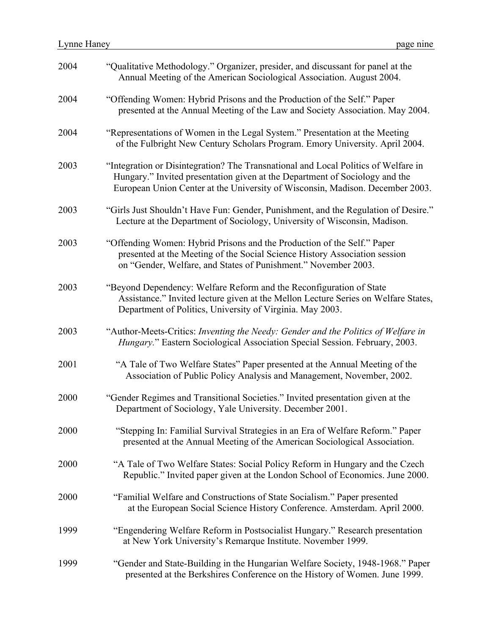| 2004 | "Qualitative Methodology." Organizer, presider, and discussant for panel at the<br>Annual Meeting of the American Sociological Association. August 2004.                                                                                           |
|------|----------------------------------------------------------------------------------------------------------------------------------------------------------------------------------------------------------------------------------------------------|
| 2004 | "Offending Women: Hybrid Prisons and the Production of the Self." Paper<br>presented at the Annual Meeting of the Law and Society Association. May 2004.                                                                                           |
| 2004 | "Representations of Women in the Legal System." Presentation at the Meeting<br>of the Fulbright New Century Scholars Program. Emory University. April 2004.                                                                                        |
| 2003 | "Integration or Disintegration? The Transnational and Local Politics of Welfare in<br>Hungary." Invited presentation given at the Department of Sociology and the<br>European Union Center at the University of Wisconsin, Madison. December 2003. |
| 2003 | "Girls Just Shouldn't Have Fun: Gender, Punishment, and the Regulation of Desire."<br>Lecture at the Department of Sociology, University of Wisconsin, Madison.                                                                                    |
| 2003 | "Offending Women: Hybrid Prisons and the Production of the Self." Paper<br>presented at the Meeting of the Social Science History Association session<br>on "Gender, Welfare, and States of Punishment." November 2003.                            |
| 2003 | "Beyond Dependency: Welfare Reform and the Reconfiguration of State<br>Assistance." Invited lecture given at the Mellon Lecture Series on Welfare States,<br>Department of Politics, University of Virginia. May 2003.                             |
| 2003 | "Author-Meets-Critics: Inventing the Needy: Gender and the Politics of Welfare in<br>Hungary." Eastern Sociological Association Special Session. February, 2003.                                                                                   |
| 2001 | "A Tale of Two Welfare States" Paper presented at the Annual Meeting of the<br>Association of Public Policy Analysis and Management, November, 2002.                                                                                               |
| 2000 | "Gender Regimes and Transitional Societies." Invited presentation given at the<br>Department of Sociology, Yale University. December 2001.                                                                                                         |
| 2000 | "Stepping In: Familial Survival Strategies in an Era of Welfare Reform." Paper<br>presented at the Annual Meeting of the American Sociological Association.                                                                                        |
| 2000 | "A Tale of Two Welfare States: Social Policy Reform in Hungary and the Czech<br>Republic." Invited paper given at the London School of Economics. June 2000.                                                                                       |
| 2000 | "Familial Welfare and Constructions of State Socialism." Paper presented<br>at the European Social Science History Conference. Amsterdam. April 2000.                                                                                              |
| 1999 | "Engendering Welfare Reform in Postsocialist Hungary." Research presentation<br>at New York University's Remarque Institute. November 1999.                                                                                                        |
| 1999 | "Gender and State-Building in the Hungarian Welfare Society, 1948-1968." Paper<br>presented at the Berkshires Conference on the History of Women. June 1999.                                                                                       |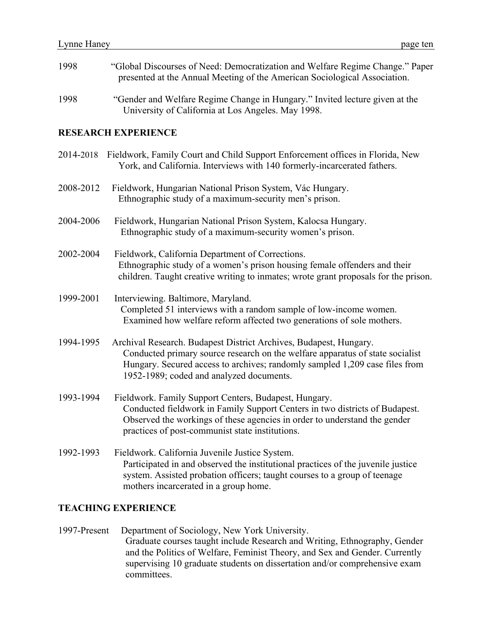| 1998      | "Global Discourses of Need: Democratization and Welfare Regime Change." Paper<br>presented at the Annual Meeting of the American Sociological Association.                                                                                                                    |
|-----------|-------------------------------------------------------------------------------------------------------------------------------------------------------------------------------------------------------------------------------------------------------------------------------|
| 1998      | "Gender and Welfare Regime Change in Hungary." Invited lecture given at the<br>University of California at Los Angeles. May 1998.                                                                                                                                             |
|           | <b>RESEARCH EXPERIENCE</b>                                                                                                                                                                                                                                                    |
| 2014-2018 | Fieldwork, Family Court and Child Support Enforcement offices in Florida, New<br>York, and California. Interviews with 140 formerly-incarcerated fathers.                                                                                                                     |
| 2008-2012 | Fieldwork, Hungarian National Prison System, Vác Hungary.<br>Ethnographic study of a maximum-security men's prison.                                                                                                                                                           |
| 2004-2006 | Fieldwork, Hungarian National Prison System, Kalocsa Hungary.<br>Ethnographic study of a maximum-security women's prison.                                                                                                                                                     |
| 2002-2004 | Fieldwork, California Department of Corrections.<br>Ethnographic study of a women's prison housing female offenders and their<br>children. Taught creative writing to inmates; wrote grant proposals for the prison.                                                          |
| 1999-2001 | Interviewing. Baltimore, Maryland.<br>Completed 51 interviews with a random sample of low-income women.<br>Examined how welfare reform affected two generations of sole mothers.                                                                                              |
| 1994-1995 | Archival Research. Budapest District Archives, Budapest, Hungary.<br>Conducted primary source research on the welfare apparatus of state socialist<br>Hungary. Secured access to archives; randomly sampled 1,209 case files from<br>1952-1989; coded and analyzed documents. |
| 1993-1994 | Fieldwork. Family Support Centers, Budapest, Hungary.<br>Conducted fieldwork in Family Support Centers in two districts of Budapest.<br>Observed the workings of these agencies in order to understand the gender<br>practices of post-communist state institutions.          |
| 1992-1993 | Fieldwork. California Juvenile Justice System.<br>Participated in and observed the institutional practices of the juvenile justice<br>system. Assisted probation officers; taught courses to a group of teenage<br>mothers incarcerated in a group home.                      |

### **TEACHING EXPERIENCE**

1997-Present Department of Sociology, New York University. Graduate courses taught include Research and Writing, Ethnography, Gender and the Politics of Welfare, Feminist Theory, and Sex and Gender. Currently supervising 10 graduate students on dissertation and/or comprehensive exam committees.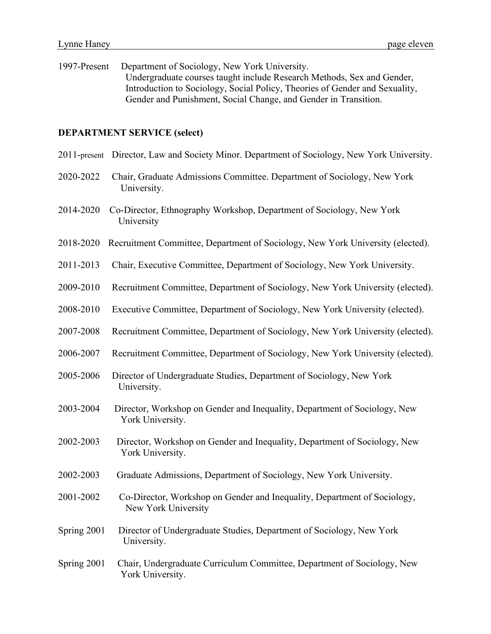1997-Present Department of Sociology, New York University. Undergraduate courses taught include Research Methods, Sex and Gender, Introduction to Sociology, Social Policy, Theories of Gender and Sexuality, Gender and Punishment, Social Change, and Gender in Transition.

#### **DEPARTMENT SERVICE (select)**

- 2011-present Director, Law and Society Minor. Department of Sociology, New York University.
- 2020-2022 Chair, Graduate Admissions Committee. Department of Sociology, New York University.
- 2014-2020 Co-Director, Ethnography Workshop, Department of Sociology, New York University
- 2018-2020 Recruitment Committee, Department of Sociology, New York University (elected).
- 2011-2013 Chair, Executive Committee, Department of Sociology, New York University.
- 2009-2010 Recruitment Committee, Department of Sociology, New York University (elected).
- 2008-2010 Executive Committee, Department of Sociology, New York University (elected).
- 2007-2008 Recruitment Committee, Department of Sociology, New York University (elected).
- 2006-2007 Recruitment Committee, Department of Sociology, New York University (elected).
- 2005-2006 Director of Undergraduate Studies, Department of Sociology, New York University.
- 2003-2004 Director, Workshop on Gender and Inequality, Department of Sociology, New York University.
- 2002-2003 Director, Workshop on Gender and Inequality, Department of Sociology, New York University.
- 2002-2003 Graduate Admissions, Department of Sociology, New York University.
- 2001-2002 Co-Director, Workshop on Gender and Inequality, Department of Sociology, New York University
- Spring 2001 Director of Undergraduate Studies, Department of Sociology, New York University.
- Spring 2001 Chair, Undergraduate Curriculum Committee, Department of Sociology, New York University.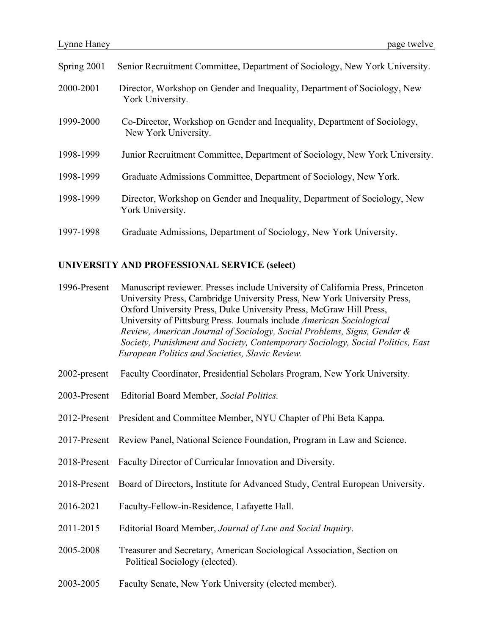| Spring 2001 | Senior Recruitment Committee, Department of Sociology, New York University.                      |
|-------------|--------------------------------------------------------------------------------------------------|
| 2000-2001   | Director, Workshop on Gender and Inequality, Department of Sociology, New<br>York University.    |
| 1999-2000   | Co-Director, Workshop on Gender and Inequality, Department of Sociology,<br>New York University. |
| 1998-1999   | Junior Recruitment Committee, Department of Sociology, New York University.                      |
| 1998-1999   | Graduate Admissions Committee, Department of Sociology, New York.                                |
| 1998-1999   | Director, Workshop on Gender and Inequality, Department of Sociology, New<br>York University.    |
| 1997-1998   | Graduate Admissions, Department of Sociology, New York University.                               |

#### **UNIVERSITY AND PROFESSIONAL SERVICE (select)**

- 1996-Present Manuscript reviewer. Presses include University of California Press, Princeton University Press, Cambridge University Press, New York University Press, Oxford University Press, Duke University Press, McGraw Hill Press, University of Pittsburg Press. Journals include *American Sociological Review, American Journal of Sociology, Social Problems, Signs, Gender & Society, Punishment and Society, Contemporary Sociology, Social Politics, East European Politics and Societies, Slavic Review.*
- 2002-present Faculty Coordinator, Presidential Scholars Program, New York University.
- 2003-Present Editorial Board Member, *Social Politics.*
- 2012-Present President and Committee Member, NYU Chapter of Phi Beta Kappa.
- 2017-Present Review Panel, National Science Foundation, Program in Law and Science.
- 2018-Present Faculty Director of Curricular Innovation and Diversity.
- 2018-Present Board of Directors, Institute for Advanced Study, Central European University.
- 2016-2021 Faculty-Fellow-in-Residence, Lafayette Hall.
- 2011-2015 Editorial Board Member, *Journal of Law and Social Inquiry*.
- 2005-2008 Treasurer and Secretary, American Sociological Association, Section on Political Sociology (elected).
- 2003-2005 Faculty Senate, New York University (elected member).